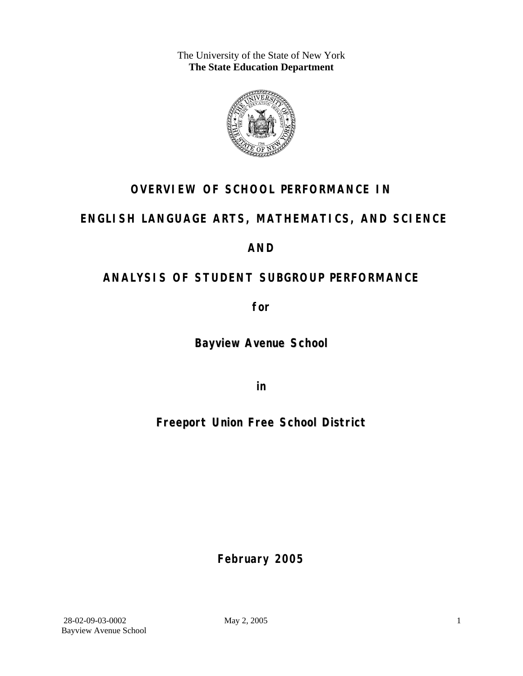The University of the State of New York **The State Education Department** 



### **OVERVIEW OF SCHOOL PERFORMANCE IN**

### **ENGLISH LANGUAGE ARTS, MATHEMATICS, AND SCIENCE**

### **AND**

### **ANALYSIS OF STUDENT SUBGROUP PERFORMANCE**

**for** 

**Bayview Avenue School**

**in** 

**Freeport Union Free School District**

**February 2005**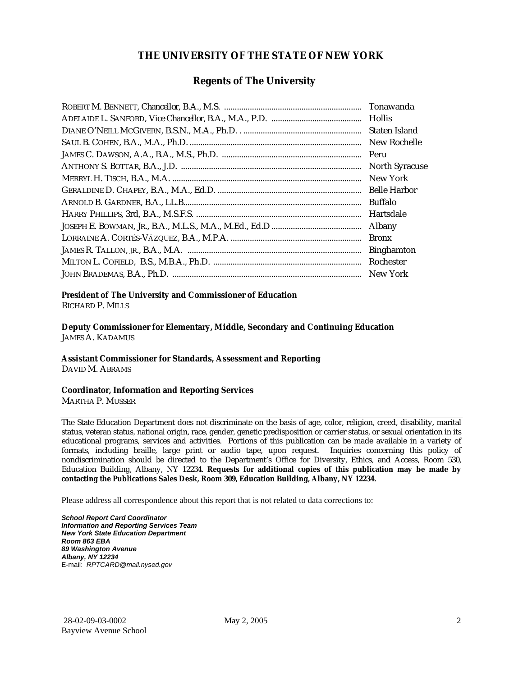#### **THE UNIVERSITY OF THE STATE OF NEW YORK**

#### **Regents of The University**

| Tonawanda             |
|-----------------------|
|                       |
| Staten Island         |
| New Rochelle          |
| Peru                  |
| <b>North Syracuse</b> |
| New York              |
| <b>Belle Harbor</b>   |
| <b>Buffalo</b>        |
| Hartsdale             |
| <b>Albany</b>         |
| <b>Bronx</b>          |
| <b>Binghamton</b>     |
| Rochester             |
| New York              |

### **President of The University and Commissioner of Education**

RICHARD P. MILLS

**Deputy Commissioner for Elementary, Middle, Secondary and Continuing Education**  JAMES A. KADAMUS

#### **Assistant Commissioner for Standards, Assessment and Reporting**  DAVID M. ABRAMS

**Coordinator, Information and Reporting Services** 

MARTHA P. MUSSER

The State Education Department does not discriminate on the basis of age, color, religion, creed, disability, marital status, veteran status, national origin, race, gender, genetic predisposition or carrier status, or sexual orientation in its educational programs, services and activities. Portions of this publication can be made available in a variety of formats, including braille, large print or audio tape, upon request. Inquiries concerning this policy of nondiscrimination should be directed to the Department's Office for Diversity, Ethics, and Access, Room 530, Education Building, Albany, NY 12234. **Requests for additional copies of this publication may be made by contacting the Publications Sales Desk, Room 309, Education Building, Albany, NY 12234.** 

Please address all correspondence about this report that is not related to data corrections to:

*School Report Card Coordinator Information and Reporting Services Team New York State Education Department Room 863 EBA 89 Washington Avenue Albany, NY 12234*  E-mail: *RPTCARD@mail.nysed.gov*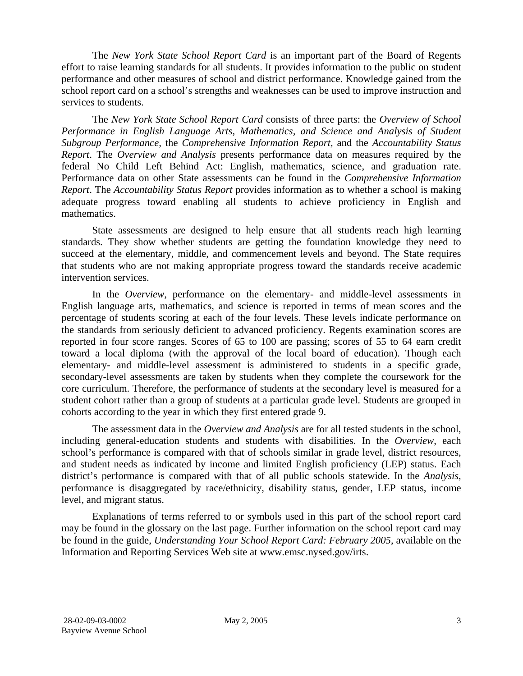The *New York State School Report Card* is an important part of the Board of Regents effort to raise learning standards for all students. It provides information to the public on student performance and other measures of school and district performance. Knowledge gained from the school report card on a school's strengths and weaknesses can be used to improve instruction and services to students.

The *New York State School Report Card* consists of three parts: the *Overview of School Performance in English Language Arts, Mathematics, and Science and Analysis of Student Subgroup Performance,* the *Comprehensive Information Report,* and the *Accountability Status Report*. The *Overview and Analysis* presents performance data on measures required by the federal No Child Left Behind Act: English, mathematics, science, and graduation rate. Performance data on other State assessments can be found in the *Comprehensive Information Report*. The *Accountability Status Report* provides information as to whether a school is making adequate progress toward enabling all students to achieve proficiency in English and mathematics.

State assessments are designed to help ensure that all students reach high learning standards. They show whether students are getting the foundation knowledge they need to succeed at the elementary, middle, and commencement levels and beyond. The State requires that students who are not making appropriate progress toward the standards receive academic intervention services.

In the *Overview*, performance on the elementary- and middle-level assessments in English language arts, mathematics, and science is reported in terms of mean scores and the percentage of students scoring at each of the four levels. These levels indicate performance on the standards from seriously deficient to advanced proficiency. Regents examination scores are reported in four score ranges. Scores of 65 to 100 are passing; scores of 55 to 64 earn credit toward a local diploma (with the approval of the local board of education). Though each elementary- and middle-level assessment is administered to students in a specific grade, secondary-level assessments are taken by students when they complete the coursework for the core curriculum. Therefore, the performance of students at the secondary level is measured for a student cohort rather than a group of students at a particular grade level. Students are grouped in cohorts according to the year in which they first entered grade 9.

The assessment data in the *Overview and Analysis* are for all tested students in the school, including general-education students and students with disabilities. In the *Overview*, each school's performance is compared with that of schools similar in grade level, district resources, and student needs as indicated by income and limited English proficiency (LEP) status. Each district's performance is compared with that of all public schools statewide. In the *Analysis*, performance is disaggregated by race/ethnicity, disability status, gender, LEP status, income level, and migrant status.

Explanations of terms referred to or symbols used in this part of the school report card may be found in the glossary on the last page. Further information on the school report card may be found in the guide, *Understanding Your School Report Card: February 2005*, available on the Information and Reporting Services Web site at www.emsc.nysed.gov/irts.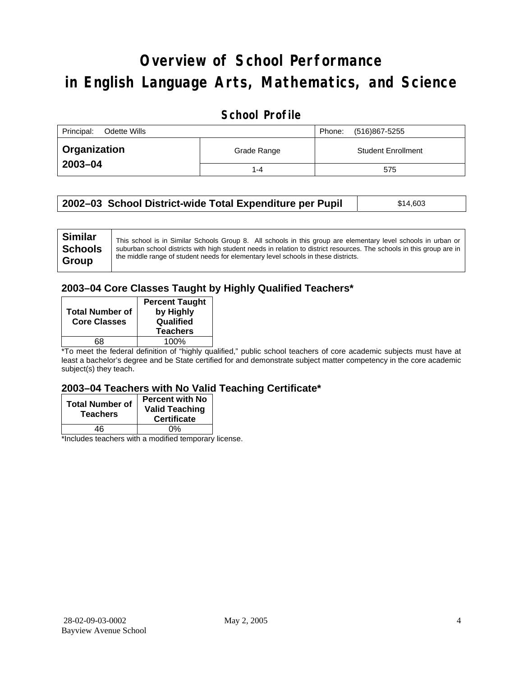# **Overview of School Performance in English Language Arts, Mathematics, and Science**

#### **School Profile**

| Principal:<br>Odette Wills | (516)867-5255<br>Phone: |                           |
|----------------------------|-------------------------|---------------------------|
| Organization               | Grade Range             | <b>Student Enrollment</b> |
| 2003-04                    | 1-4                     | 575                       |

| 2002–03 School District-wide Total Expenditure per Pupil | \$14,603 |
|----------------------------------------------------------|----------|
|                                                          |          |

| <b>Similar</b> | This school is in Similar Schools Group 8. All schools in this group are elementary level schools in urban or         |
|----------------|-----------------------------------------------------------------------------------------------------------------------|
| <b>Schools</b> | suburban school districts with high student needs in relation to district resources. The schools in this group are in |
| Group          | the middle range of student needs for elementary level schools in these districts.                                    |
|                |                                                                                                                       |

#### **2003–04 Core Classes Taught by Highly Qualified Teachers\***

| <b>Total Number of</b><br><b>Core Classes</b> | <b>Percent Taught</b><br>by Highly<br>Qualified<br><b>Teachers</b> |
|-----------------------------------------------|--------------------------------------------------------------------|
|                                               | 100%                                                               |

\*To meet the federal definition of "highly qualified," public school teachers of core academic subjects must have at least a bachelor's degree and be State certified for and demonstrate subject matter competency in the core academic subject(s) they teach.

#### **2003–04 Teachers with No Valid Teaching Certificate\***

| <b>Total Number of</b><br><b>Teachers</b> | <b>Percent with No</b><br><b>Valid Teaching</b><br><b>Certificate</b> |
|-------------------------------------------|-----------------------------------------------------------------------|
| 46                                        | 0%                                                                    |
| $\mathbf{A}$<br>$\cdots$                  |                                                                       |

\*Includes teachers with a modified temporary license.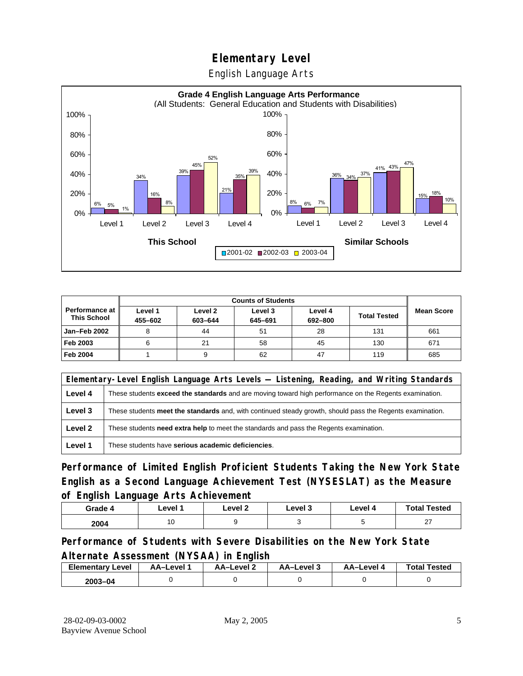English Language Arts



|                                             |                    | <b>Counts of Students</b> |                    |                    |                     |                   |
|---------------------------------------------|--------------------|---------------------------|--------------------|--------------------|---------------------|-------------------|
| <b>Performance at</b><br><b>This School</b> | Level 1<br>455-602 | Level 2<br>603-644        | Level 3<br>645-691 | Level 4<br>692-800 | <b>Total Tested</b> | <b>Mean Score</b> |
| Jan-Feb 2002                                |                    | 44                        | 51                 | 28                 | 131                 | 661               |
| Feb 2003                                    | 6                  | 21                        | 58                 | 45                 | 130                 | 671               |
| <b>Feb 2004</b>                             |                    |                           | 62                 | 47                 | 119                 | 685               |

|                                                                                                                          | Elementary-Level English Language Arts Levels — Listening, Reading, and Writing Standards                 |  |  |  |
|--------------------------------------------------------------------------------------------------------------------------|-----------------------------------------------------------------------------------------------------------|--|--|--|
| Level 4<br>These students <b>exceed the standards</b> and are moving toward high performance on the Regents examination. |                                                                                                           |  |  |  |
| Level 3                                                                                                                  | These students meet the standards and, with continued steady growth, should pass the Regents examination. |  |  |  |
| Level 2                                                                                                                  | These students <b>need extra help</b> to meet the standards and pass the Regents examination.             |  |  |  |
| Level 1                                                                                                                  | These students have serious academic deficiencies.                                                        |  |  |  |

**Performance of Limited English Proficient Students Taking the New York State English as a Second Language Achievement Test (NYSESLAT) as the Measure of English Language Arts Achievement**

| Grade 4 | Level 1 | Level 2 | Level 3 | Level 4 | <b>Total Tested</b> |
|---------|---------|---------|---------|---------|---------------------|
| 2004    | AC      |         |         |         | $\sim$<br>, I       |

**Performance of Students with Severe Disabilities on the New York State Alternate Assessment (NYSAA) in English** 

| <b>Elementary Level</b> | AA–Level | <b>AA-Level 2</b> | AA-Level 3 | AA–Level 4 | <b>Total Tested</b> |
|-------------------------|----------|-------------------|------------|------------|---------------------|
| 2003-04                 |          |                   |            |            |                     |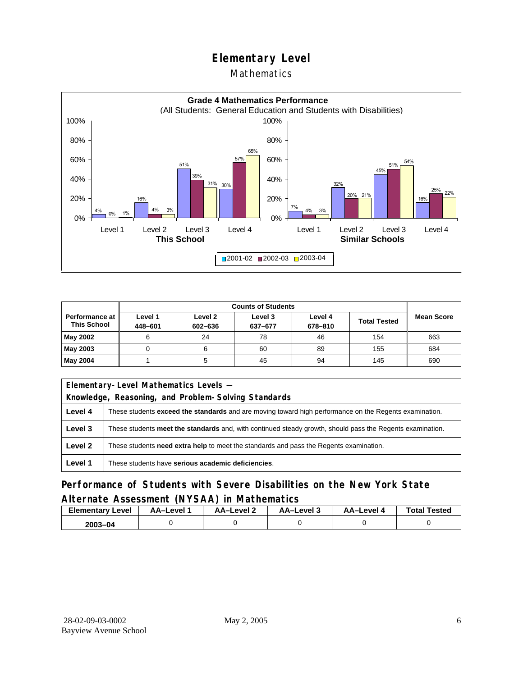#### Mathematics



|                                             |                    | <b>Counts of Students</b> |                    |                    |                     |            |  |
|---------------------------------------------|--------------------|---------------------------|--------------------|--------------------|---------------------|------------|--|
| <b>Performance at</b><br><b>This School</b> | Level 1<br>448-601 | Level 2<br>602-636        | Level 3<br>637-677 | Level 4<br>678-810 | <b>Total Tested</b> | Mean Score |  |
| May 2002                                    |                    | 24                        | 78                 | 46                 | 154                 | 663        |  |
| May 2003                                    |                    |                           | 60                 | 89                 | 155                 | 684        |  |
| May 2004                                    |                    |                           | 45                 | 94                 | 145                 | 690        |  |

|         | Elementary-Level Mathematics Levels -                                                                         |  |  |
|---------|---------------------------------------------------------------------------------------------------------------|--|--|
|         | Knowledge, Reasoning, and Problem-Solving Standards                                                           |  |  |
| Level 4 | These students <b>exceed the standards</b> and are moving toward high performance on the Regents examination. |  |  |
| Level 3 | These students meet the standards and, with continued steady growth, should pass the Regents examination.     |  |  |
| Level 2 | These students need extra help to meet the standards and pass the Regents examination.                        |  |  |
| Level 1 | These students have serious academic deficiencies.                                                            |  |  |

### **Performance of Students with Severe Disabilities on the New York State Alternate Assessment (NYSAA) in Mathematics**

| <b>Elementary Level</b> | AA-Level | AA-Level 2 | AA-Level 3 | AA–Level 4 | <b>Total Tested</b> |
|-------------------------|----------|------------|------------|------------|---------------------|
| $2003 - 04$             |          |            |            |            |                     |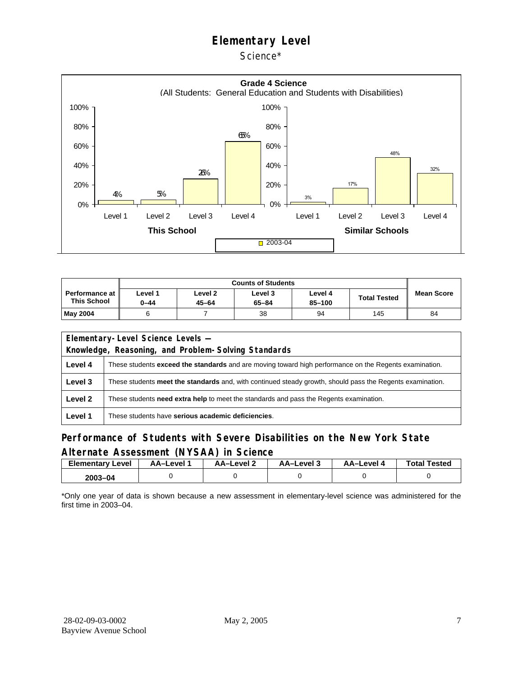Science\*



|                                      | <b>Counts of Students</b> |                      |                      |                   |                     |                   |  |  |
|--------------------------------------|---------------------------|----------------------|----------------------|-------------------|---------------------|-------------------|--|--|
| Performance at<br><b>This School</b> | Level 1<br>0-44           | Level 2<br>$45 - 64$ | Level 3<br>$65 - 84$ | Level 4<br>85-100 | <b>Total Tested</b> | <b>Mean Score</b> |  |  |
| May 2004                             |                           |                      | 38                   | 94                | 145                 | 84                |  |  |

| Elementary-Level Science Levels -                   |                                                                                                           |  |  |  |  |  |  |
|-----------------------------------------------------|-----------------------------------------------------------------------------------------------------------|--|--|--|--|--|--|
| Knowledge, Reasoning, and Problem-Solving Standards |                                                                                                           |  |  |  |  |  |  |
| Level 4                                             | These students exceed the standards and are moving toward high performance on the Regents examination.    |  |  |  |  |  |  |
| Level 3                                             | These students meet the standards and, with continued steady growth, should pass the Regents examination. |  |  |  |  |  |  |
| Level 2                                             | These students <b>need extra help</b> to meet the standards and pass the Regents examination.             |  |  |  |  |  |  |
| Level 1                                             | These students have serious academic deficiencies.                                                        |  |  |  |  |  |  |

#### **Performance of Students with Severe Disabilities on the New York State Alternate Assessment (NYSAA) in Science**

| Elementarv<br>Level | AA–Level | <b>AA-Level 2</b> | د AA–Level | AA-Level 4 | <b>Total Tested</b> |
|---------------------|----------|-------------------|------------|------------|---------------------|
| 2003-04             |          |                   |            |            |                     |

\*Only one year of data is shown because a new assessment in elementary-level science was administered for the first time in 2003–04.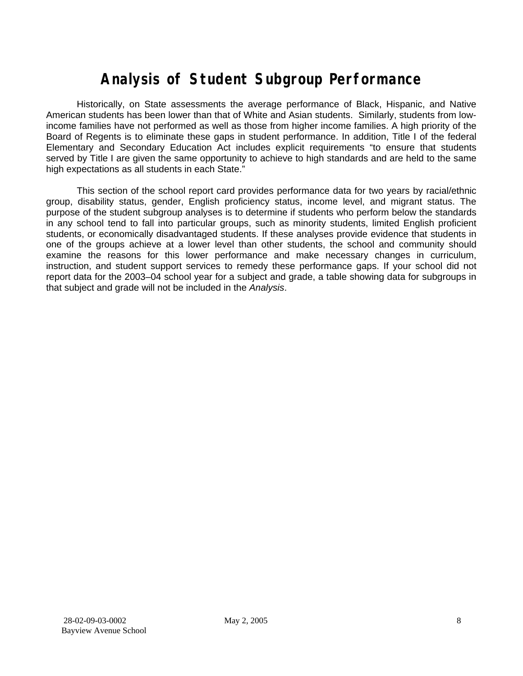## **Analysis of Student Subgroup Performance**

Historically, on State assessments the average performance of Black, Hispanic, and Native American students has been lower than that of White and Asian students. Similarly, students from lowincome families have not performed as well as those from higher income families. A high priority of the Board of Regents is to eliminate these gaps in student performance. In addition, Title I of the federal Elementary and Secondary Education Act includes explicit requirements "to ensure that students served by Title I are given the same opportunity to achieve to high standards and are held to the same high expectations as all students in each State."

This section of the school report card provides performance data for two years by racial/ethnic group, disability status, gender, English proficiency status, income level, and migrant status. The purpose of the student subgroup analyses is to determine if students who perform below the standards in any school tend to fall into particular groups, such as minority students, limited English proficient students, or economically disadvantaged students. If these analyses provide evidence that students in one of the groups achieve at a lower level than other students, the school and community should examine the reasons for this lower performance and make necessary changes in curriculum, instruction, and student support services to remedy these performance gaps. If your school did not report data for the 2003–04 school year for a subject and grade, a table showing data for subgroups in that subject and grade will not be included in the *Analysis*.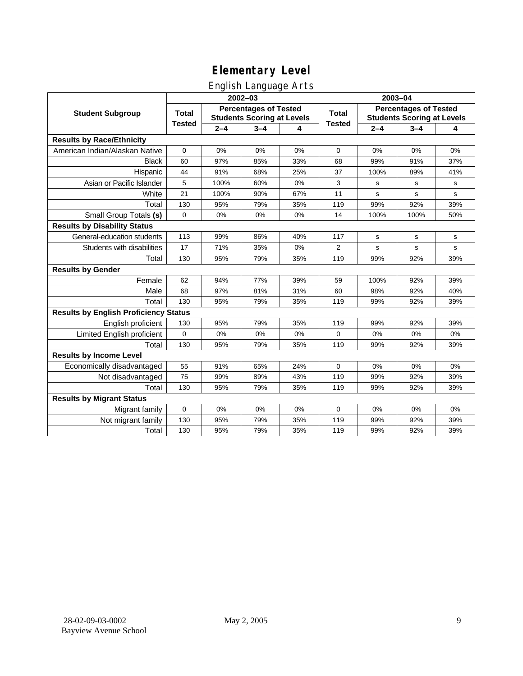### English Language Arts

|                                              |                                                                                   |         | ັ<br>2002-03 |              | 2003-04                                                           |         |             |             |  |
|----------------------------------------------|-----------------------------------------------------------------------------------|---------|--------------|--------------|-------------------------------------------------------------------|---------|-------------|-------------|--|
| <b>Student Subgroup</b>                      | <b>Percentages of Tested</b><br><b>Total</b><br><b>Students Scoring at Levels</b> |         |              | <b>Total</b> | <b>Percentages of Tested</b><br><b>Students Scoring at Levels</b> |         |             |             |  |
|                                              | <b>Tested</b>                                                                     | $2 - 4$ | $3 - 4$      | 4            | <b>Tested</b>                                                     | $2 - 4$ | $3 - 4$     | 4           |  |
| <b>Results by Race/Ethnicity</b>             |                                                                                   |         |              |              |                                                                   |         |             |             |  |
| American Indian/Alaskan Native               | $\mathbf 0$                                                                       | 0%      | 0%           | 0%           | $\mathbf 0$                                                       | 0%      | 0%          | 0%          |  |
| <b>Black</b>                                 | 60                                                                                | 97%     | 85%          | 33%          | 68                                                                | 99%     | 91%         | 37%         |  |
| Hispanic                                     | 44                                                                                | 91%     | 68%          | 25%          | 37                                                                | 100%    | 89%         | 41%         |  |
| Asian or Pacific Islander                    | 5                                                                                 | 100%    | 60%          | 0%           | 3                                                                 | s       | s           | s           |  |
| White                                        | 21                                                                                | 100%    | 90%          | 67%          | 11                                                                | s       | $\mathbf s$ | s           |  |
| Total                                        | 130                                                                               | 95%     | 79%          | 35%          | 119                                                               | 99%     | 92%         | 39%         |  |
| Small Group Totals (s)                       | $\mathbf 0$                                                                       | 0%      | 0%           | 0%           | 14                                                                | 100%    | 100%        | 50%         |  |
| <b>Results by Disability Status</b>          |                                                                                   |         |              |              |                                                                   |         |             |             |  |
| General-education students                   | 113                                                                               | 99%     | 86%          | 40%          | 117                                                               | s       | s           | s           |  |
| Students with disabilities                   | 17                                                                                | 71%     | 35%          | 0%           | 2                                                                 | s       | s           | $\mathbf s$ |  |
| Total                                        | 130                                                                               | 95%     | 79%          | 35%          | 119                                                               | 99%     | 92%         | 39%         |  |
| <b>Results by Gender</b>                     |                                                                                   |         |              |              |                                                                   |         |             |             |  |
| Female                                       | 62                                                                                | 94%     | 77%          | 39%          | 59                                                                | 100%    | 92%         | 39%         |  |
| Male                                         | 68                                                                                | 97%     | 81%          | 31%          | 60                                                                | 98%     | 92%         | 40%         |  |
| Total                                        | 130                                                                               | 95%     | 79%          | 35%          | 119                                                               | 99%     | 92%         | 39%         |  |
| <b>Results by English Proficiency Status</b> |                                                                                   |         |              |              |                                                                   |         |             |             |  |
| English proficient                           | 130                                                                               | 95%     | 79%          | 35%          | 119                                                               | 99%     | 92%         | 39%         |  |
| Limited English proficient                   | 0                                                                                 | 0%      | 0%           | 0%           | $\mathbf 0$                                                       | 0%      | 0%          | 0%          |  |
| Total                                        | 130                                                                               | 95%     | 79%          | 35%          | 119                                                               | 99%     | 92%         | 39%         |  |
| <b>Results by Income Level</b>               |                                                                                   |         |              |              |                                                                   |         |             |             |  |
| Economically disadvantaged                   | 55                                                                                | 91%     | 65%          | 24%          | $\mathbf 0$                                                       | 0%      | 0%          | 0%          |  |
| Not disadvantaged                            | 75                                                                                | 99%     | 89%          | 43%          | 119                                                               | 99%     | 92%         | 39%         |  |
| Total                                        | 130                                                                               | 95%     | 79%          | 35%          | 119                                                               | 99%     | 92%         | 39%         |  |
| <b>Results by Migrant Status</b>             |                                                                                   |         |              |              |                                                                   |         |             |             |  |
| Migrant family                               | $\mathbf 0$                                                                       | 0%      | 0%           | 0%           | 0                                                                 | 0%      | 0%          | 0%          |  |
| Not migrant family                           | 130                                                                               | 95%     | 79%          | 35%          | 119                                                               | 99%     | 92%         | 39%         |  |
| Total                                        | 130                                                                               | 95%     | 79%          | 35%          | 119                                                               | 99%     | 92%         | 39%         |  |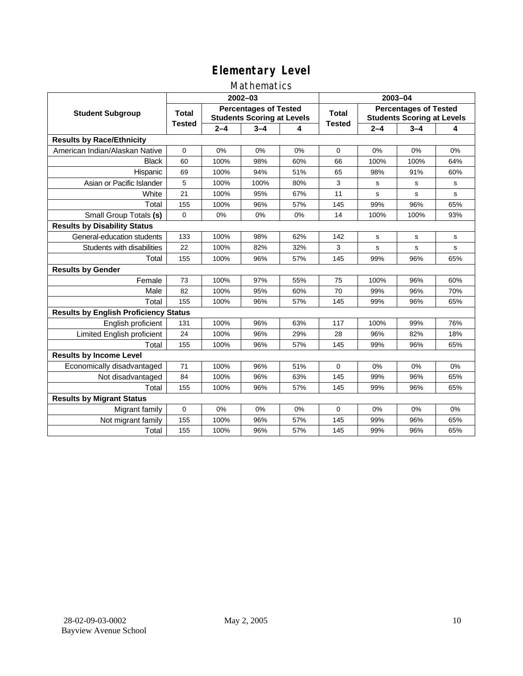#### Mathematics

|                                              |                                                                                   |         | 2002-03 |              | 2003-04                                                           |         |         |             |  |
|----------------------------------------------|-----------------------------------------------------------------------------------|---------|---------|--------------|-------------------------------------------------------------------|---------|---------|-------------|--|
| <b>Student Subgroup</b>                      | <b>Percentages of Tested</b><br><b>Total</b><br><b>Students Scoring at Levels</b> |         |         | <b>Total</b> | <b>Percentages of Tested</b><br><b>Students Scoring at Levels</b> |         |         |             |  |
|                                              | <b>Tested</b>                                                                     | $2 - 4$ | $3 - 4$ | 4            | <b>Tested</b>                                                     | $2 - 4$ | $3 - 4$ | 4           |  |
| <b>Results by Race/Ethnicity</b>             |                                                                                   |         |         |              |                                                                   |         |         |             |  |
| American Indian/Alaskan Native               | $\mathbf 0$                                                                       | 0%      | 0%      | 0%           | $\mathbf 0$                                                       | 0%      | 0%      | 0%          |  |
| <b>Black</b>                                 | 60                                                                                | 100%    | 98%     | 60%          | 66                                                                | 100%    | 100%    | 64%         |  |
| Hispanic                                     | 69                                                                                | 100%    | 94%     | 51%          | 65                                                                | 98%     | 91%     | 60%         |  |
| Asian or Pacific Islander                    | 5                                                                                 | 100%    | 100%    | 80%          | 3                                                                 | s       | s       | s           |  |
| White                                        | 21                                                                                | 100%    | 95%     | 67%          | 11                                                                | s       | s       | $\mathbf s$ |  |
| Total                                        | 155                                                                               | 100%    | 96%     | 57%          | 145                                                               | 99%     | 96%     | 65%         |  |
| Small Group Totals (s)                       | $\mathbf 0$                                                                       | 0%      | 0%      | 0%           | 14                                                                | 100%    | 100%    | 93%         |  |
| <b>Results by Disability Status</b>          |                                                                                   |         |         |              |                                                                   |         |         |             |  |
| General-education students                   | 133                                                                               | 100%    | 98%     | 62%          | 142                                                               | s       | s       | s           |  |
| Students with disabilities                   | 22                                                                                | 100%    | 82%     | 32%          | 3                                                                 | s       | s       | $\mathbf s$ |  |
| Total                                        | 155                                                                               | 100%    | 96%     | 57%          | 145                                                               | 99%     | 96%     | 65%         |  |
| <b>Results by Gender</b>                     |                                                                                   |         |         |              |                                                                   |         |         |             |  |
| Female                                       | 73                                                                                | 100%    | 97%     | 55%          | 75                                                                | 100%    | 96%     | 60%         |  |
| Male                                         | 82                                                                                | 100%    | 95%     | 60%          | 70                                                                | 99%     | 96%     | 70%         |  |
| Total                                        | 155                                                                               | 100%    | 96%     | 57%          | 145                                                               | 99%     | 96%     | 65%         |  |
| <b>Results by English Proficiency Status</b> |                                                                                   |         |         |              |                                                                   |         |         |             |  |
| English proficient                           | 131                                                                               | 100%    | 96%     | 63%          | 117                                                               | 100%    | 99%     | 76%         |  |
| Limited English proficient                   | 24                                                                                | 100%    | 96%     | 29%          | 28                                                                | 96%     | 82%     | 18%         |  |
| Total                                        | 155                                                                               | 100%    | 96%     | 57%          | 145                                                               | 99%     | 96%     | 65%         |  |
| <b>Results by Income Level</b>               |                                                                                   |         |         |              |                                                                   |         |         |             |  |
| Economically disadvantaged                   | 71                                                                                | 100%    | 96%     | 51%          | $\Omega$                                                          | 0%      | 0%      | 0%          |  |
| Not disadvantaged                            | 84                                                                                | 100%    | 96%     | 63%          | 145                                                               | 99%     | 96%     | 65%         |  |
| Total                                        | 155                                                                               | 100%    | 96%     | 57%          | 145                                                               | 99%     | 96%     | 65%         |  |
| <b>Results by Migrant Status</b>             |                                                                                   |         |         |              |                                                                   |         |         |             |  |
| Migrant family                               | $\mathbf 0$                                                                       | 0%      | 0%      | 0%           | $\mathbf 0$                                                       | 0%      | 0%      | 0%          |  |
| Not migrant family                           | 155                                                                               | 100%    | 96%     | 57%          | 145                                                               | 99%     | 96%     | 65%         |  |
| Total                                        | 155                                                                               | 100%    | 96%     | 57%          | 145                                                               | 99%     | 96%     | 65%         |  |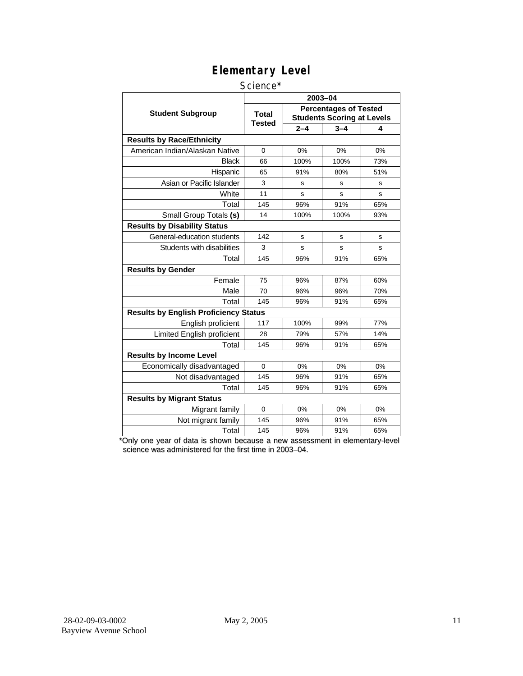#### Science\*

|                                              | 2003-04                       |                                                                   |         |     |  |  |  |
|----------------------------------------------|-------------------------------|-------------------------------------------------------------------|---------|-----|--|--|--|
| <b>Student Subgroup</b>                      | <b>Total</b><br><b>Tested</b> | <b>Percentages of Tested</b><br><b>Students Scoring at Levels</b> |         |     |  |  |  |
|                                              |                               | $2 - 4$                                                           | $3 - 4$ | 4   |  |  |  |
| <b>Results by Race/Ethnicity</b>             |                               |                                                                   |         |     |  |  |  |
| American Indian/Alaskan Native               | $\Omega$                      | 0%                                                                | 0%      | 0%  |  |  |  |
| <b>Black</b>                                 | 66                            | 100%                                                              | 100%    | 73% |  |  |  |
| Hispanic                                     | 65                            | 91%                                                               | 80%     | 51% |  |  |  |
| Asian or Pacific Islander                    | 3                             | s                                                                 | s       | s   |  |  |  |
| White                                        | 11                            | s                                                                 | s       | s   |  |  |  |
| Total                                        | 145                           | 96%                                                               | 91%     | 65% |  |  |  |
| Small Group Totals (s)                       | 14                            | 100%                                                              | 100%    | 93% |  |  |  |
| <b>Results by Disability Status</b>          |                               |                                                                   |         |     |  |  |  |
| General-education students                   | 142                           | S                                                                 | s       | s   |  |  |  |
| Students with disabilities                   | 3                             | S                                                                 | s       | S   |  |  |  |
| Total                                        | 145                           | 96%                                                               | 91%     | 65% |  |  |  |
| <b>Results by Gender</b>                     |                               |                                                                   |         |     |  |  |  |
| Female                                       | 75                            | 96%                                                               | 87%     | 60% |  |  |  |
| Male                                         | 70                            | 96%                                                               | 96%     | 70% |  |  |  |
| Total                                        | 145                           | 96%                                                               | 91%     | 65% |  |  |  |
| <b>Results by English Proficiency Status</b> |                               |                                                                   |         |     |  |  |  |
| English proficient                           | 117                           | 100%                                                              | 99%     | 77% |  |  |  |
| Limited English proficient                   | 28                            | 79%                                                               | 57%     | 14% |  |  |  |
| Total                                        | 145                           | 96%                                                               | 91%     | 65% |  |  |  |
| <b>Results by Income Level</b>               |                               |                                                                   |         |     |  |  |  |
| Economically disadvantaged                   | $\Omega$                      | 0%                                                                | 0%      | 0%  |  |  |  |
| Not disadvantaged                            | 145                           | 96%                                                               | 91%     | 65% |  |  |  |
| Total                                        | 145                           | 96%                                                               | 91%     | 65% |  |  |  |
| <b>Results by Migrant Status</b>             |                               |                                                                   |         |     |  |  |  |
| Migrant family                               | $\Omega$                      | 0%                                                                | 0%      | 0%  |  |  |  |
| Not migrant family                           | 145                           | 96%                                                               | 91%     | 65% |  |  |  |
| Total                                        | 145                           | 96%                                                               | 91%     | 65% |  |  |  |

\*Only one year of data is shown because a new assessment in elementary-level science was administered for the first time in 2003–04.